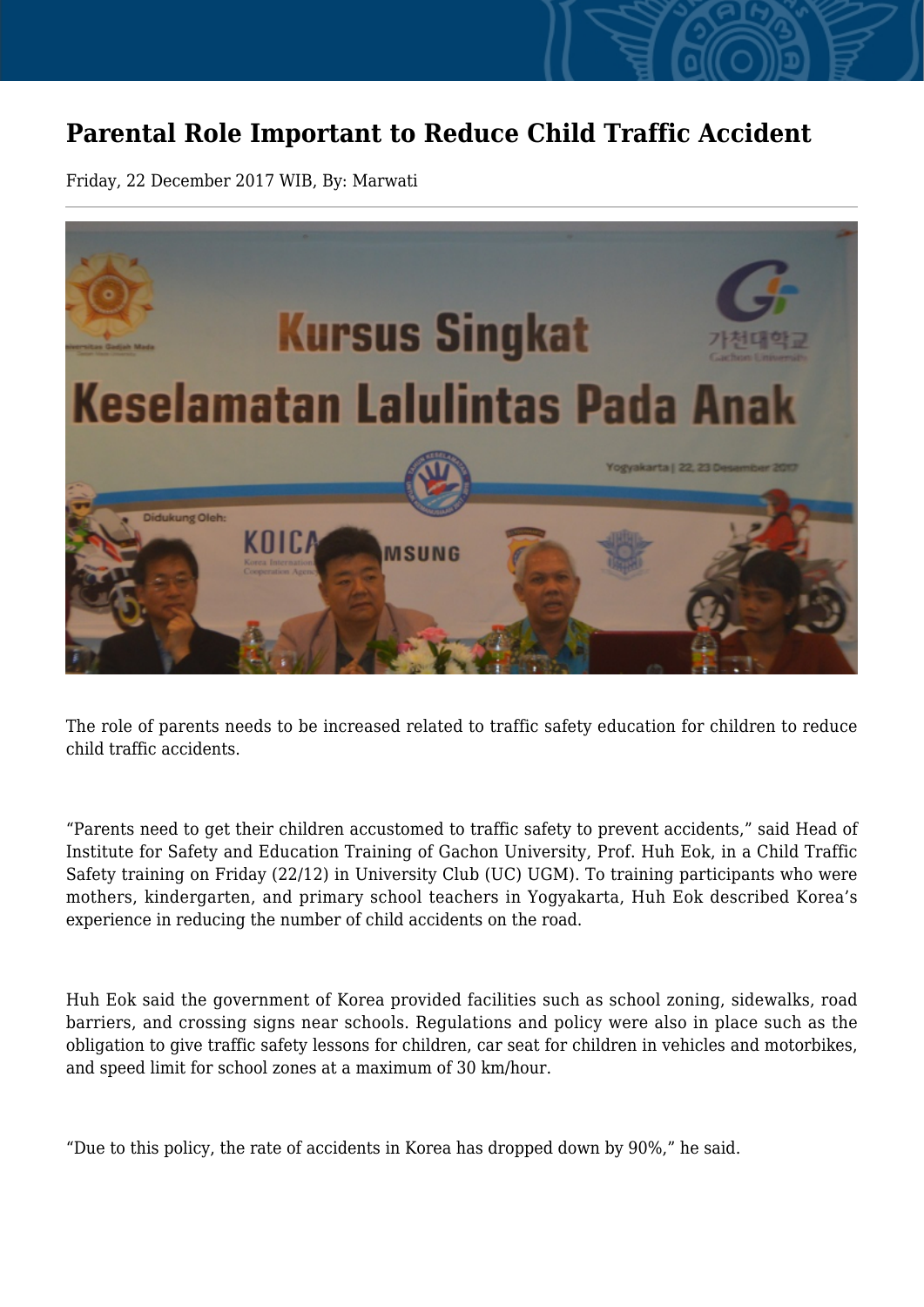## **Parental Role Important to Reduce Child Traffic Accident**

Friday, 22 December 2017 WIB, By: Marwati



The role of parents needs to be increased related to traffic safety education for children to reduce child traffic accidents.

"Parents need to get their children accustomed to traffic safety to prevent accidents," said Head of Institute for Safety and Education Training of Gachon University, Prof. Huh Eok, in a Child Traffic Safety training on Friday (22/12) in University Club (UC) UGM). To training participants who were mothers, kindergarten, and primary school teachers in Yogyakarta, Huh Eok described Korea's experience in reducing the number of child accidents on the road.

Huh Eok said the government of Korea provided facilities such as school zoning, sidewalks, road barriers, and crossing signs near schools. Regulations and policy were also in place such as the obligation to give traffic safety lessons for children, car seat for children in vehicles and motorbikes, and speed limit for school zones at a maximum of 30 km/hour.

"Due to this policy, the rate of accidents in Korea has dropped down by 90%," he said.